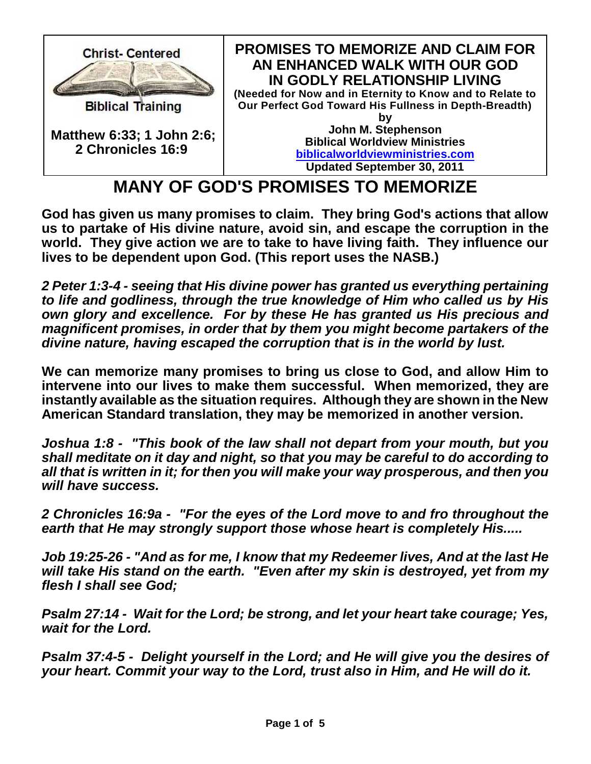

## **MANY OF GOD'S PROMISES TO MEMORIZE**

**God has given us many promises to claim. They bring God's actions that allow us to partake of His divine nature, avoid sin, and escape the corruption in the world. They give action we are to take to have living faith. They influence our lives to be dependent upon God. (This report uses the NASB.)**

*2 Peter 1:3-4 - seeing that His divine power has granted us everything pertaining to life and godliness, through the true knowledge of Him who called us by His own glory and excellence. For by these He has granted us His precious and magnificent promises, in order that by them you might become partakers of the divine nature, having escaped the corruption that is in the world by lust.*

**We can memorize many promises to bring us close to God, and allow Him to intervene into our lives to make them successful. When memorized, they are instantly available as the situation requires. Although they are shown in the New American Standard translation, they may be memorized in another version.**

*Joshua 1:8 - "This book of the law shall not depart from your mouth, but you shall meditate on it day and night, so that you may be careful to do according to all that is written in it; for then you will make your way prosperous, and then you will have success.*

*2 Chronicles 16:9a - "For the eyes of the Lord move to and fro throughout the earth that He may strongly support those whose heart is completely His.....*

*Job 19:25-26 - "And as for me, I know that my Redeemer lives, And at the last He will take His stand on the earth. "Even after my skin is destroyed, yet from my flesh I shall see God;* 

*Psalm 27:14 - Wait for the Lord; be strong, and let your heart take courage; Yes, wait for the Lord.*

*Psalm 37:4-5 - Delight yourself in the Lord; and He will give you the desires of your heart. Commit your way to the Lord, trust also in Him, and He will do it.*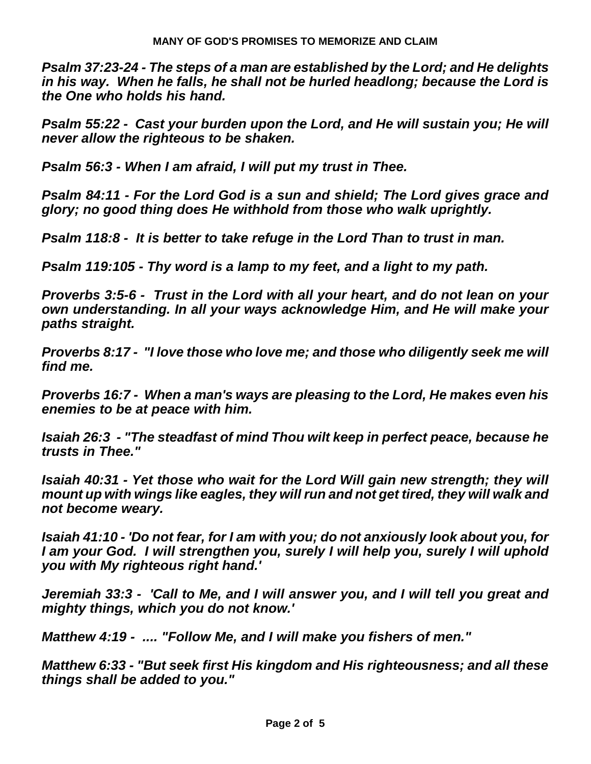*Psalm 37:23-24 - The steps of a man are established by the Lord; and He delights in his way. When he falls, he shall not be hurled headlong; because the Lord is the One who holds his hand.*

*Psalm 55:22 - Cast your burden upon the Lord, and He will sustain you; He will never allow the righteous to be shaken.*

*Psalm 56:3 - When I am afraid, I will put my trust in Thee.* 

*Psalm 84:11 - For the Lord God is a sun and shield; The Lord gives grace and glory; no good thing does He withhold from those who walk uprightly.*

*Psalm 118:8 - It is better to take refuge in the Lord Than to trust in man.* 

*Psalm 119:105 - Thy word is a lamp to my feet, and a light to my path.* 

*Proverbs 3:5-6 - Trust in the Lord with all your heart, and do not lean on your own understanding. In all your ways acknowledge Him, and He will make your paths straight.* 

*Proverbs 8:17 - "I love those who love me; and those who diligently seek me will find me.*

*Proverbs 16:7 - When a man's ways are pleasing to the Lord, He makes even his enemies to be at peace with him.*

*Isaiah 26:3 - "The steadfast of mind Thou wilt keep in perfect peace, because he trusts in Thee."* 

*Isaiah 40:31 - Yet those who wait for the Lord Will gain new strength; they will mount up with wings like eagles, they will run and not get tired, they will walk and not become weary.*

*Isaiah 41:10 - 'Do not fear, for I am with you; do not anxiously look about you, for I am your God. I will strengthen you, surely I will help you, surely I will uphold you with My righteous right hand.'*

*Jeremiah 33:3 - 'Call to Me, and I will answer you, and I will tell you great and mighty things, which you do not know.'*

*Matthew 4:19 - .... "Follow Me, and I will make you fishers of men."* 

*Matthew 6:33 - "But seek first His kingdom and His righteousness; and all these things shall be added to you."*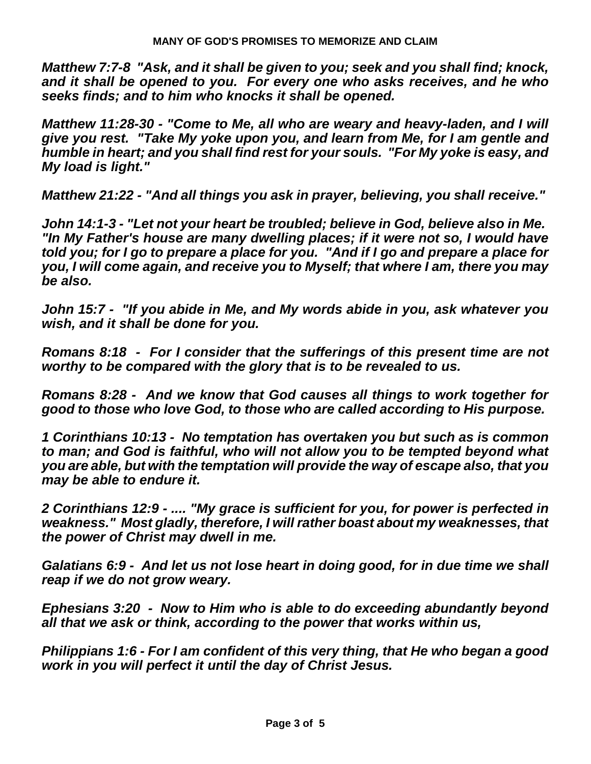*Matthew 7:7-8 "Ask, and it shall be given to you; seek and you shall find; knock, and it shall be opened to you. For every one who asks receives, and he who seeks finds; and to him who knocks it shall be opened.*

*Matthew 11:28-30 - "Come to Me, all who are weary and heavy-laden, and I will give you rest. "Take My yoke upon you, and learn from Me, for I am gentle and humble in heart; and you shall find rest for your souls. "For My yoke is easy, and My load is light."* 

*Matthew 21:22 - "And all things you ask in prayer, believing, you shall receive."* 

*John 14:1-3 - "Let not your heart be troubled; believe in God, believe also in Me. "In My Father's house are many dwelling places; if it were not so, I would have told you; for I go to prepare a place for you. "And if I go and prepare a place for you, I will come again, and receive you to Myself; that where I am, there you may be also.* 

*John 15:7 - "If you abide in Me, and My words abide in you, ask whatever you wish, and it shall be done for you.* 

*Romans 8:18 - For I consider that the sufferings of this present time are not worthy to be compared with the glory that is to be revealed to us.* 

*Romans 8:28 - And we know that God causes all things to work together for good to those who love God, to those who are called according to His purpose.*

*1 Corinthians 10:13 - No temptation has overtaken you but such as is common to man; and God is faithful, who will not allow you to be tempted beyond what you are able, but with the temptation will provide the way of escape also, that you may be able to endure it.*

*2 Corinthians 12:9 - .... "My grace is sufficient for you, for power is perfected in weakness." Most gladly, therefore, I will rather boast about my weaknesses, that the power of Christ may dwell in me.* 

*Galatians 6:9 - And let us not lose heart in doing good, for in due time we shall reap if we do not grow weary.*

*Ephesians 3:20 - Now to Him who is able to do exceeding abundantly beyond all that we ask or think, according to the power that works within us,*

*Philippians 1:6 - For I am confident of this very thing, that He who began a good work in you will perfect it until the day of Christ Jesus.*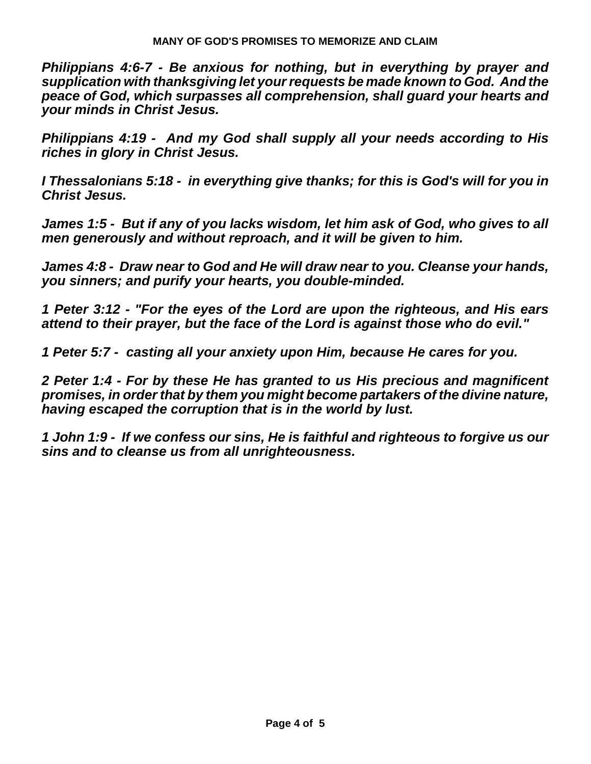*Philippians 4:6-7 - Be anxious for nothing, but in everything by prayer and supplication with thanksgiving let your requests be made known to God. And the peace of God, which surpasses all comprehension, shall guard your hearts and your minds in Christ Jesus.*

*Philippians 4:19 - And my God shall supply all your needs according to His riches in glory in Christ Jesus.*

*I Thessalonians 5:18 - in everything give thanks; for this is God's will for you in Christ Jesus.*

*James 1:5 - But if any of you lacks wisdom, let him ask of God, who gives to all men generously and without reproach, and it will be given to him.*

*James 4:8 - Draw near to God and He will draw near to you. Cleanse your hands, you sinners; and purify your hearts, you double-minded.*

*1 Peter 3:12 - "For the eyes of the Lord are upon the righteous, and His ears attend to their prayer, but the face of the Lord is against those who do evil."* 

*1 Peter 5:7 - casting all your anxiety upon Him, because He cares for you.* 

*2 Peter 1:4 - For by these He has granted to us His precious and magnificent promises, in order that by them you might become partakers of the divine nature, having escaped the corruption that is in the world by lust.* 

*1 John 1:9 - If we confess our sins, He is faithful and righteous to forgive us our sins and to cleanse us from all unrighteousness.*